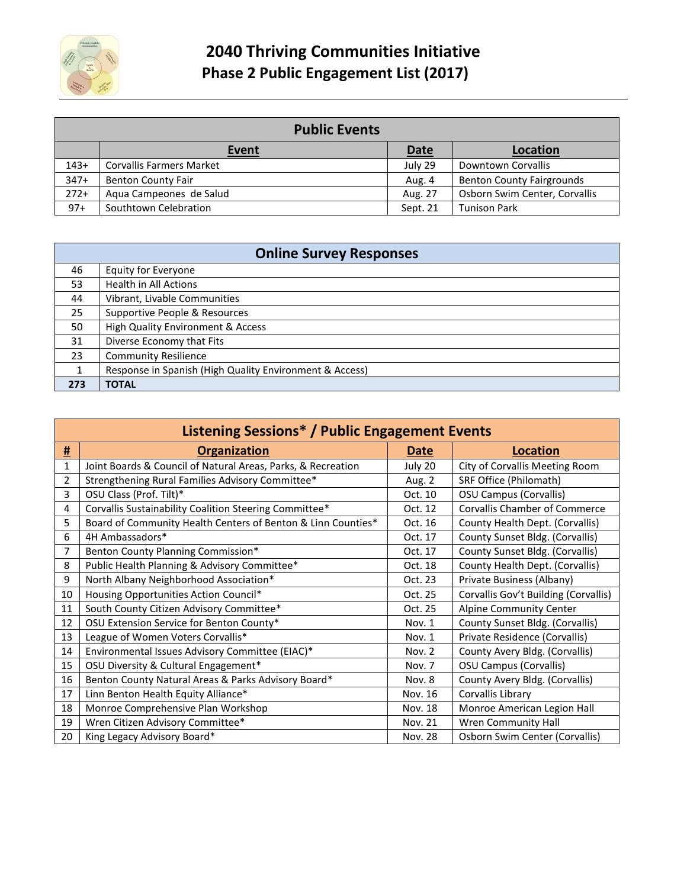

| <b>Public Events</b> |                                 |             |                                  |  |  |
|----------------------|---------------------------------|-------------|----------------------------------|--|--|
|                      | <b>Event</b>                    | <b>Date</b> | Location                         |  |  |
| $143+$               | <b>Corvallis Farmers Market</b> | July 29     | Downtown Corvallis               |  |  |
| $347+$               | <b>Benton County Fair</b>       | Aug. 4      | <b>Benton County Fairgrounds</b> |  |  |
| $272+$               | Aqua Campeones de Salud         | Aug. 27     | Osborn Swim Center, Corvallis    |  |  |
| $97+$                | Southtown Celebration           | Sept. 21    | <b>Tunison Park</b>              |  |  |

| <b>Online Survey Responses</b> |                                                         |  |  |  |
|--------------------------------|---------------------------------------------------------|--|--|--|
| 46                             | Equity for Everyone                                     |  |  |  |
| 53                             | <b>Health in All Actions</b>                            |  |  |  |
| 44                             | Vibrant, Livable Communities                            |  |  |  |
| 25                             | Supportive People & Resources                           |  |  |  |
| 50                             | <b>High Quality Environment &amp; Access</b>            |  |  |  |
| 31                             | Diverse Economy that Fits                               |  |  |  |
| 23                             | <b>Community Resilience</b>                             |  |  |  |
|                                | Response in Spanish (High Quality Environment & Access) |  |  |  |
| 273                            | <b>TOTAL</b>                                            |  |  |  |

| Listening Sessions* / Public Engagement Events |                                                              |                |                                      |  |  |
|------------------------------------------------|--------------------------------------------------------------|----------------|--------------------------------------|--|--|
| <u>#</u>                                       | <b>Organization</b>                                          | <b>Date</b>    | <b>Location</b>                      |  |  |
| 1                                              | Joint Boards & Council of Natural Areas, Parks, & Recreation | July 20        | City of Corvallis Meeting Room       |  |  |
| $\overline{2}$                                 | Strengthening Rural Families Advisory Committee*             | Aug. 2         | SRF Office (Philomath)               |  |  |
| 3                                              | OSU Class (Prof. Tilt)*                                      | Oct. 10        | <b>OSU Campus (Corvallis)</b>        |  |  |
| 4                                              | Corvallis Sustainability Coalition Steering Committee*       | Oct. 12        | <b>Corvallis Chamber of Commerce</b> |  |  |
| 5                                              | Board of Community Health Centers of Benton & Linn Counties* | Oct. 16        | County Health Dept. (Corvallis)      |  |  |
| 6                                              | 4H Ambassadors*                                              | Oct. 17        | County Sunset Bldg. (Corvallis)      |  |  |
| $\overline{7}$                                 | Benton County Planning Commission*                           | Oct. 17        | County Sunset Bldg. (Corvallis)      |  |  |
| 8                                              | Public Health Planning & Advisory Committee*                 | Oct. 18        | County Health Dept. (Corvallis)      |  |  |
| 9                                              | North Albany Neighborhood Association*                       | Oct. 23        | Private Business (Albany)            |  |  |
| 10                                             | Housing Opportunities Action Council*                        | Oct. 25        | Corvallis Gov't Building (Corvallis) |  |  |
| 11                                             | South County Citizen Advisory Committee*                     | Oct. 25        | Alpine Community Center              |  |  |
| 12                                             | OSU Extension Service for Benton County*                     | Nov. 1         | County Sunset Bldg. (Corvallis)      |  |  |
| 13                                             | League of Women Voters Corvallis*                            | Nov. 1         | Private Residence (Corvallis)        |  |  |
| 14                                             | Environmental Issues Advisory Committee (EIAC)*              | Nov. 2         | County Avery Bldg. (Corvallis)       |  |  |
| 15                                             | OSU Diversity & Cultural Engagement*                         | Nov. 7         | <b>OSU Campus (Corvallis)</b>        |  |  |
| 16                                             | Benton County Natural Areas & Parks Advisory Board*          | Nov. 8         | County Avery Bldg. (Corvallis)       |  |  |
| 17                                             | Linn Benton Health Equity Alliance*                          | Nov. 16        | Corvallis Library                    |  |  |
| 18                                             | Monroe Comprehensive Plan Workshop                           | Nov. 18        | Monroe American Legion Hall          |  |  |
| 19                                             | Wren Citizen Advisory Committee*                             | Nov. 21        | Wren Community Hall                  |  |  |
| 20                                             | King Legacy Advisory Board*                                  | <b>Nov. 28</b> | Osborn Swim Center (Corvallis)       |  |  |